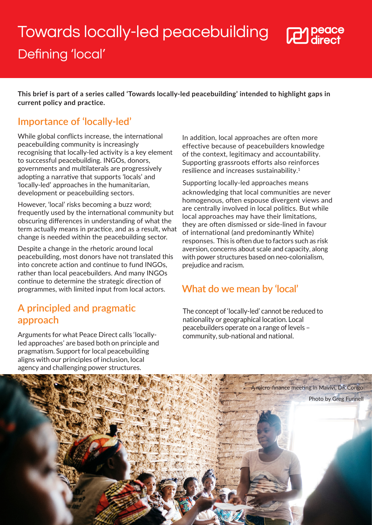# Towards locally-led peacebuilding



## Defining 'local'

**This brief is part of a series called 'Towards locally-led peacebuilding' intended to highlight gaps in current policy and practice.**

#### **Importance of 'locally-led'**

While global conflicts increase, the international peacebuilding community is increasingly recognising that locally-led activity is a key element to successful peacebuilding. INGOs, donors, governments and multilaterals are progressively adopting a narrative that supports 'locals' and 'locally-led' approaches in the humanitarian, development or peacebuilding sectors.

However, 'local' risks becoming a buzz word; frequently used by the international community but obscuring differences in understanding of what the term actually means in practice, and as a result, what change is needed within the peacebuilding sector.

Despite a change in the rhetoric around local peacebuilding, most donors have not translated this into concrete action and continue to fund INGOs, rather than local peacebuilders. And many INGOs continue to determine the strategic direction of programmes, with limited input from local actors.

#### **A principled and pragmatic approach**

Arguments for what Peace Direct calls 'locallyled approaches' are based both on principle and pragmatism. Support for local peacebuilding aligns with our principles of inclusion, local agency and challenging power structures.

In addition, local approaches are often more effective because of peacebuilders knowledge of the context, legitimacy and accountability. Supporting grassroots efforts also reinforces resilience and increases sustainability.<sup>1</sup>

Supporting locally-led approaches means acknowledging that local communities are never homogenous, often espouse divergent views and are centrally involved in local politics. But while local approaches may have their limitations, they are often dismissed or side-lined in favour of international (and predominantly White) responses. This is often due to factors such as risk aversion, concerns about scale and capacity, along with power structures based on neo-colonialism, prejudice and racism.

### **What do we mean by 'local'**

The concept of 'locally-led' cannot be reduced to nationality or geographical location. Local peacebuilders operate on a range of levels – community, sub-national and national.